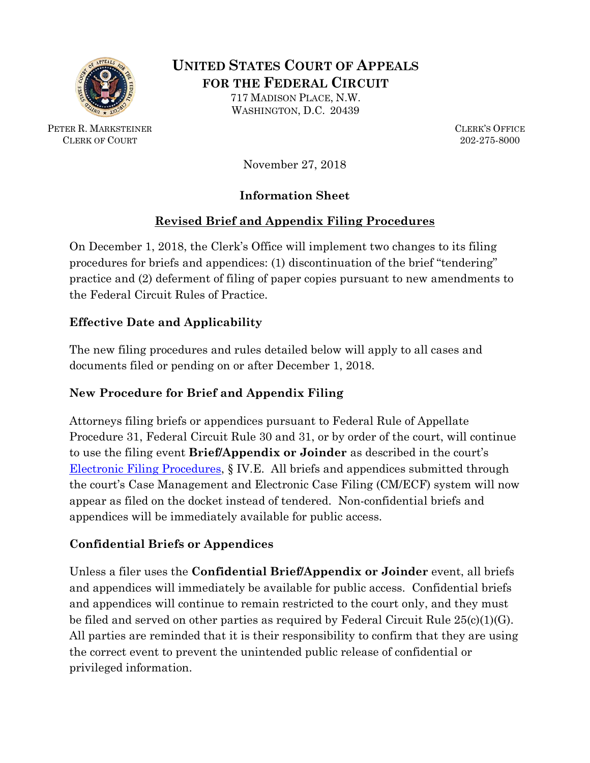

**UNITED STATES COURT OF APPEALS FOR THE FEDERAL CIRCUIT**

717 MADISON PLACE, N.W. WASHINGTON, D.C. 20439

**PETER R. MARKSTEINER CLERK'S OFFICE** CLERK OF COURT 202-275-8000

November 27, 2018

# **Information Sheet**

# **Revised Brief and Appendix Filing Procedures**

On December 1, 2018, the Clerk's Office will implement two changes to its filing procedures for briefs and appendices: (1) discontinuation of the brief "tendering" practice and (2) deferment of filing of paper copies pursuant to new amendments to the Federal Circuit Rules of Practice.

# **Effective Date and Applicability**

The new filing procedures and rules detailed below will apply to all cases and documents filed or pending on or after December 1, 2018.

# **New Procedure for Brief and Appendix Filing**

Attorneys filing briefs or appendices pursuant to Federal Rule of Appellate Procedure 31, Federal Circuit Rule 30 and 31, or by order of the court, will continue to use the filing event **Brief/Appendix or Joinder** as described in the court's [Electronic Filing Procedures,](http://www.cafc.uscourts.gov/sites/default/files/cmecf/ElectronicFilingProcedures.pdf) § IV.E. All briefs and appendices submitted through the court's Case Management and Electronic Case Filing (CM/ECF) system will now appear as filed on the docket instead of tendered. Non-confidential briefs and appendices will be immediately available for public access.

### **Confidential Briefs or Appendices**

Unless a filer uses the **Confidential Brief/Appendix or Joinder** event, all briefs and appendices will immediately be available for public access. Confidential briefs and appendices will continue to remain restricted to the court only, and they must be filed and served on other parties as required by Federal Circuit Rule 25(c)(1)(G). All parties are reminded that it is their responsibility to confirm that they are using the correct event to prevent the unintended public release of confidential or privileged information.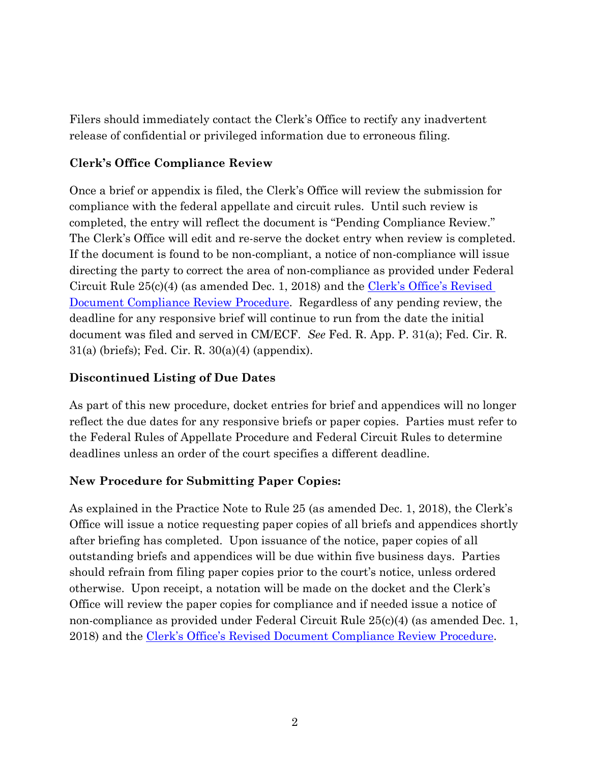Filers should immediately contact the Clerk's Office to rectify any inadvertent release of confidential or privileged information due to erroneous filing.

#### **Clerk's Office Compliance Review**

Once a brief or appendix is filed, the Clerk's Office will review the submission for compliance with the federal appellate and circuit rules. Until such review is completed, the entry will reflect the document is "Pending Compliance Review." The Clerk's Office will edit and re-serve the docket entry when review is completed. If the document is found to be non-compliant, a notice of non-compliance will issue directing the party to correct the area of non-compliance as provided under Federal Circuit Rule 25(c)(4) (as amended Dec. 1, 2018) and the [Clerk's Office's Revised](http://www.cafc.uscourts.gov/sites/default/files/announcements/NonComplianceProceduralChange-Public_Notice-070918.pdf)  [Document Compliance Review Procedure.](http://www.cafc.uscourts.gov/sites/default/files/announcements/NonComplianceProceduralChange-Public_Notice-070918.pdf) Regardless of any pending review, the deadline for any responsive brief will continue to run from the date the initial document was filed and served in CM/ECF. *See* Fed. R. App. P. 31(a); Fed. Cir. R. 31(a) (briefs); Fed. Cir. R. 30(a)(4) (appendix).

#### **Discontinued Listing of Due Dates**

As part of this new procedure, docket entries for brief and appendices will no longer reflect the due dates for any responsive briefs or paper copies. Parties must refer to the Federal Rules of Appellate Procedure and Federal Circuit Rules to determine deadlines unless an order of the court specifies a different deadline.

### **New Procedure for Submitting Paper Copies:**

As explained in the Practice Note to Rule 25 (as amended Dec. 1, 2018), the Clerk's Office will issue a notice requesting paper copies of all briefs and appendices shortly after briefing has completed. Upon issuance of the notice, paper copies of all outstanding briefs and appendices will be due within five business days. Parties should refrain from filing paper copies prior to the court's notice, unless ordered otherwise. Upon receipt, a notation will be made on the docket and the Clerk's Office will review the paper copies for compliance and if needed issue a notice of non-compliance as provided under Federal Circuit Rule 25(c)(4) (as amended Dec. 1, 2018) and the [Clerk's Office's Revised Document Compliance Review Procedure.](http://www.cafc.uscourts.gov/sites/default/files/announcements/NonComplianceProceduralChange-Public_Notice-070918.pdf)